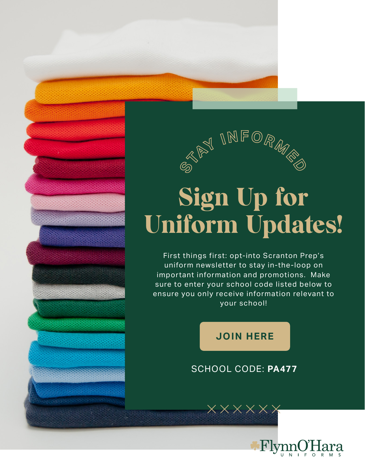

## Sign Up for Uniform Updates!

First things first: opt-into Scranton Prep's uniform newsletter to stay in-the-loop on important information and promotions. Make sure to enter your school code listed below to ensure you only receive information relevant to your school!

## **[JOIN HERE](https://flynnohara.com/join-our-email-list/)**

## SCHOOL CODE: **PA477**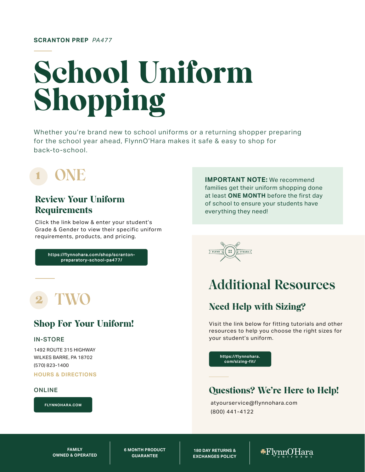# School Uniform Shopping

Whether you're brand new to school uniforms or a returning shopper preparing for the school year ahead, FlynnO'Hara makes it safe & easy to shop for back-to-school.

## Review Your Uniform **Requirements**

Click the link below & enter your student's Grade & Gender to view their specific uniform requirements, products, and pricing.

> [https://flynnohara.com/shop/scranton](https://flynnohara.com/shop/scranton-preparatory-school-pa477/)preparatory-school-pa477/

## Shop For Your Uniform!

#### IN-STORE

1492 ROUTE 315 HIGHWAY WILKES BARRE, PA 18702 (570) 823-1400

**[HOURS & DIRECTIONS](https://stores.flynnohara.com/flynnohara-uniforms-c154647bc9dc)**

#### ONLINE

**[FLYNNOHARA.COM](https://flynnohara.com/)**

**IMPORTANT NOTE:** We recommend families get their uniform shopping done at least **ONE MONTH** before the first day of school to ensure your students have everything they need!

 $\overline{\Sigma_{\text{FLYNN}}}$   $(33)$   $\overline{\Sigma_{\text{O'HARA}}}$ 

## **Additional Resources**

## Need Help with Sizing?

Visit the link below for fitting tutorials and other resources to help you choose the right sizes for your student's uniform.

**[https://flynnohara](https://flynnohara.com/sizing-fit/). com/sizing-fit /**

## Questions? We're Here to Help!

atyourservice@flynnohara.com (800) 441-4122

**FAMILY OWNED & OPERATED**

**6 MONTH PRODUCT GUARANTEE** 

**180 DAY RETURNS & EXCHANGES POLICY**

 $\bigstar$ FlynnO'Hara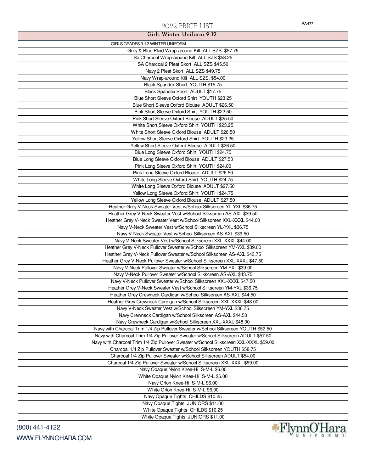| Girls Winter Uniform 9-12                                                                    |
|----------------------------------------------------------------------------------------------|
| GIRLS GRADES 9-12 WINTER UNIFORM                                                             |
| Grey & Blue Plaid Wrap-around Kilt ALL SZS. \$57.75                                          |
| Sa Charcoal Wrap-around Kilt ALL SZS \$53.25                                                 |
| SA Charcoal 2 Pleat Skort ALL SZS \$45.50                                                    |
| Navy 2 Pleat Skort ALL SZS \$49.75                                                           |
| Navy Wrap-around Kilt ALL SZS. \$54.00                                                       |
| Black Spandex Short YOUTH \$15.75                                                            |
| Black Spandex Short ADULT \$17.75                                                            |
| Blue Short Sleeve Oxford Shirt YOUTH \$23.25                                                 |
| Blue Short Sleeve Oxford Blouse ADULT \$26.50                                                |
| Pink Short Sleeve Oxford Shirt YOUTH \$22.50                                                 |
| Pink Short Sleeve Oxford Blouse ADULT \$25.50                                                |
| White Short Sleeve Oxford Shirt YOUTH \$23.25                                                |
| White Short Sleeve Oxford Blouse ADULT \$26.50                                               |
| Yellow Short Sleeve Oxford Shirt YOUTH \$23.25                                               |
| Yellow Short Sleeve Oxford Blouse ADULT \$26.50                                              |
| Blue Long Sleeve Oxford Shirt YOUTH \$24.75                                                  |
| Blue Long Sleeve Oxford Blouse ADULT \$27.50                                                 |
| Pink Long Sleeve Oxford Shirt YOUTH \$24.00                                                  |
| Pink Long Sleeve Oxford Blouse ADULT \$26.50<br>White Long Sleeve Oxford Shirt YOUTH \$24.75 |
| White Long Sleeve Oxford Blouse ADULT \$27.50                                                |
| Yellow Long Sleeve Oxford Shirt YOUTH \$24.75                                                |
| Yellow Long Sleeve Oxford Blouse ADULT \$27.50                                               |
| Heather Grey V-Neck Sweater Vest w/School Silkscreen YL-YXL \$36.75                          |
| Heather Grey V-Neck Sweater Vest w/School Silkscreen AS-AXL \$39.50                          |
| Heather Grey V-Neck Sweater Vest w/School Silkscreen XXL-XXXL \$44.00                        |
| Navy V-Neck Sweater Vest w/School Silkscreen YL-YXL \$36.75                                  |
| Navy V-Neck Sweater Vest w/School Silkscreen AS-AXL \$39.50                                  |
| Navy V-Neck Sweater Vest w/School Silkscreen XXL-XXXL \$44.00                                |
| Heather Grey V-Neck Pullover Sweater w/School Silkscreen YM-YXL \$39.00                      |
| Heather Grey V-Neck Pullover Sweater w/School Silkscreen AS-AXL \$43.75                      |
| Heather Grey V-Neck Pullover Sweater w/School Silkscreen XXL-XXXL \$47.50                    |
| Navy V-Neck Pullover Sweater w/School Silkscreen YM-YXL \$39.00                              |
| Navy V-Neck Pullover Sweater w/School Silkscreen AS-AXL \$43.75                              |
| Navy V-Neck Pullover Sweater w/School Silkscreen XXL-XXXL \$47.50                            |
| Heather Grey V-Neck Sweater Vest w/School Silkscreen YM-YXL \$36.75                          |
| Heather Grey Crewneck Cardigan w/School Silkscreen AS-AXL \$44.50                            |
| Heather Grey Crewneck Cardigan w/School Silkscreen XXL-XXXL \$48.00                          |
| Navy V-Neck Sweater Vest w/School Silkscreen YM-YXL \$36.75                                  |
| Navy Crewneck Cardigan w/School Silkscreen AS-AXL \$44.50                                    |
| Navy Crewneck Cardigan w/School Silkscreen XXL-XXXL \$48.00                                  |
| Navy with Charcoal Trim 1/4 Zip Pullover Sweater w/School Silkscreen YOUTH \$52.50           |
| Navy with Charcoal Trim 1/4 Zip Pullover Sweater w/School Silkscreen ADULT \$57.50           |
| Navy with Charcoal Trim 1/4 Zip Pullover Sweater w/School Silkscreen XXL-XXXL \$59.00        |
| Charcoal 1/4 Zip Pullover Sweater w/School Silkscreen YOUTH \$58.75                          |
| Charcoal 1/4 Zip Pullover Sweater w/School Silkscreen ADULT \$54.00                          |
| Charcoal 1/4 Zip Pullover Sweater w/School Silkscreen XXL-XXXL \$59.00                       |
| Navy Opaque Nylon Knee-Hi S-M-L \$6.00                                                       |
| White Opaque Nylon Knee-Hi S-M-L \$6.00                                                      |
| Navy Orlon Knee-Hi S-M-L \$6.00                                                              |
| White Orlon Knee-Hi S-M-L \$6.00                                                             |
| Navy Opaque Tights CHILDS \$10.25<br>Navy Opaque Tights JUNIORS \$11.00                      |
| White Opaque Tights CHILDS \$10.25                                                           |
| White Opaque Tights JUNIORS \$11.00                                                          |
|                                                                                              |